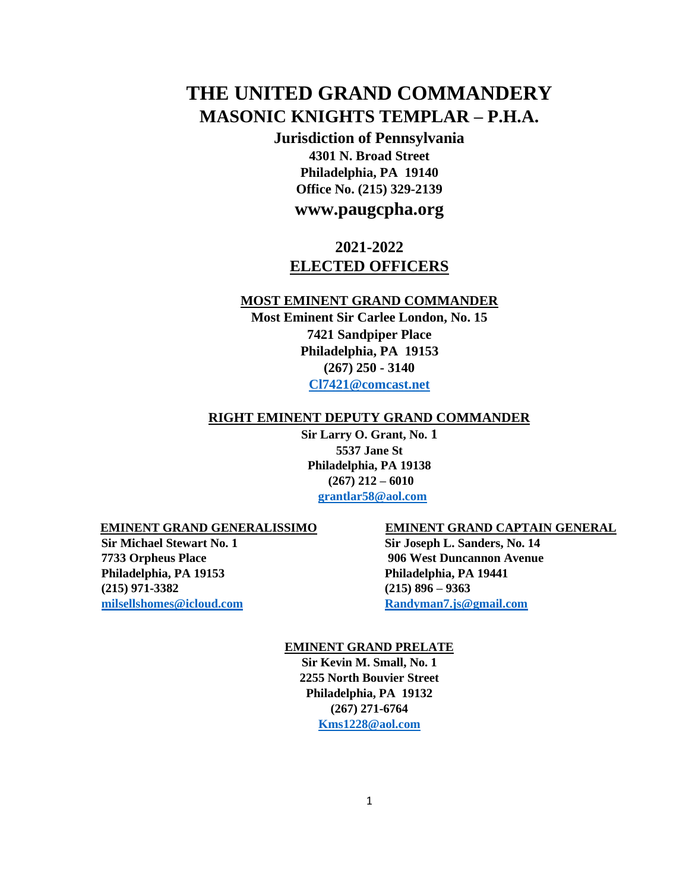# **THE UNITED GRAND COMMANDERY MASONIC KNIGHTS TEMPLAR – P.H.A.**

**Jurisdiction of Pennsylvania 4301 N. Broad Street Philadelphia, PA 19140 Office No. (215) 329-2139** 

# **www.paugcpha.org**

# **2021-2022 ELECTED OFFICERS**

### **MOST EMINENT GRAND COMMANDER**

**Most Eminent Sir Carlee London, No. 15 7421 Sandpiper Place Philadelphia, PA 19153 (267) 250 - 3140 Cl7421@comcast.net**

### **RIGHT EMINENT DEPUTY GRAND COMMANDER**

**Sir Larry O. Grant, No. 1 5537 Jane St Philadelphia, PA 19138 (267) 212 – 6010 grantlar58@aol.com**

**Philadelphia, PA 19153 Philadelphia, PA 19441 (215) 971-3382 (215) 896 – 9363 milsellshomes@icloud.com Randyman7.js@gmail.com**

### **EMINENT GRAND GENERALISSIMO EMINENT GRAND CAPTAIN GENERAL**

**Sir Michael Stewart No. 1** Sir Joseph L. Sanders, No. 14 **7733 Orpheus Place 906 West Duncannon Avenue** 

### **EMINENT GRAND PRELATE**

**Sir Kevin M. Small, No. 1 2255 North Bouvier Street Philadelphia, PA 19132 (267) 271-6764 Kms1228@aol.com**